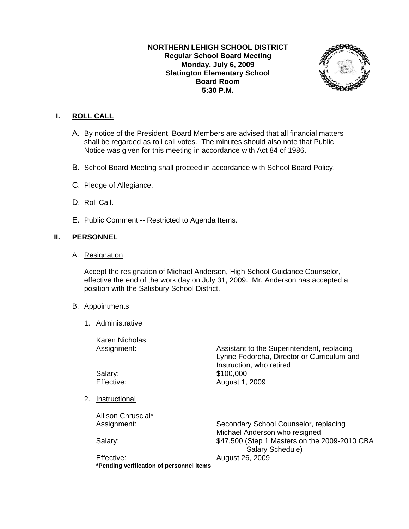## **NORTHERN LEHIGH SCHOOL DISTRICT Regular School Board Meeting Monday, July 6, 2009 Slatington Elementary School Board Room 5:30 P.M.**



## **I. ROLL CALL**

- A. By notice of the President, Board Members are advised that all financial matters shall be regarded as roll call votes. The minutes should also note that Public Notice was given for this meeting in accordance with Act 84 of 1986.
- B. School Board Meeting shall proceed in accordance with School Board Policy.
- C. Pledge of Allegiance.
- D. Roll Call.
- E. Public Comment -- Restricted to Agenda Items.

## **II. PERSONNEL**

A. Resignation

Accept the resignation of Michael Anderson, High School Guidance Counselor, effective the end of the work day on July 31, 2009. Mr. Anderson has accepted a position with the Salisbury School District.

#### B. Appointments

1. Administrative

 Karen Nicholas Assignment: Assistant to the Superintendent, replacing Lynne Fedorcha, Director or Curriculum and Instruction, who retired Salary: \$100,000 Effective: August 1, 2009 2. Instructional Allison Chruscial\* Assignment: Secondary School Counselor, replacing Michael Anderson who resigned Salary:  $$47,500$  (Step 1 Masters on the 2009-2010 CBA Salary Schedule) Effective: August 26, 2009

**\*Pending verification of personnel items**